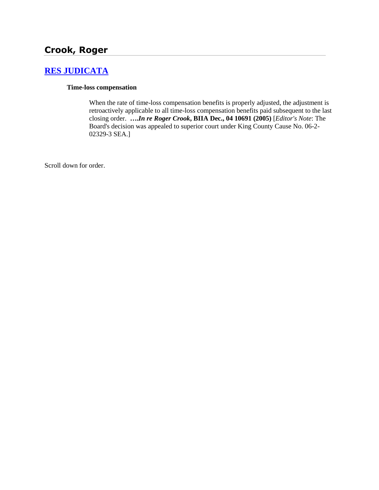# **Crook, Roger**

## **[RES JUDICATA](http://www.biia.wa.gov/SDSubjectIndex.html#RES_JUDICATA)**

#### **Time-loss compensation**

When the rate of time-loss compensation benefits is properly adjusted, the adjustment is retroactively applicable to all time-loss compensation benefits paid subsequent to the last closing order. **….***In re Roger Crook***, BIIA Dec., 04 10691 (2005)** [*Editor's Note*: The Board's decision was appealed to superior court under King County Cause No. 06-2- 02329-3 SEA.]

Scroll down for order.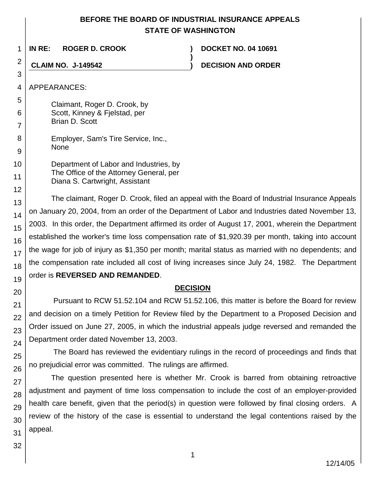## **BEFORE THE BOARD OF INDUSTRIAL INSURANCE APPEALS STATE OF WASHINGTON**

**)**

1 **IN RE: ROGER D. CROOK ) DOCKET NO. 04 10691**

**CLAIM NO. J-149542 ) DECISION AND ORDER**

4 APPEARANCES:

2

3

7

12

13

14

15

16

17

18

19

20

21 22

23

24

25

26

27

28

29

5 6 Claimant, Roger D. Crook, by Scott, Kinney & Fjelstad, per Brian D. Scott

- 8 9 Employer, Sam's Tire Service, Inc., None
- 10 11 Department of Labor and Industries, by The Office of the Attorney General, per Diana S. Cartwright, Assistant

The claimant, Roger D. Crook, filed an appeal with the Board of Industrial Insurance Appeals on January 20, 2004, from an order of the Department of Labor and Industries dated November 13, 2003. In this order, the Department affirmed its order of August 17, 2001, wherein the Department established the worker's time loss compensation rate of \$1,920.39 per month, taking into account the wage for job of injury as \$1,350 per month; marital status as married with no dependents; and the compensation rate included all cost of living increases since July 24, 1982. The Department order is **REVERSED AND REMANDED**.

# **DECISION**

Pursuant to RCW 51.52.104 and RCW 51.52.106, this matter is before the Board for review and decision on a timely Petition for Review filed by the Department to a Proposed Decision and Order issued on June 27, 2005, in which the industrial appeals judge reversed and remanded the Department order dated November 13, 2003.

The Board has reviewed the evidentiary rulings in the record of proceedings and finds that no prejudicial error was committed. The rulings are affirmed.

The question presented here is whether Mr. Crook is barred from obtaining retroactive adjustment and payment of time loss compensation to include the cost of an employer-provided health care benefit, given that the period(s) in question were followed by final closing orders. A review of the history of the case is essential to understand the legal contentions raised by the appeal.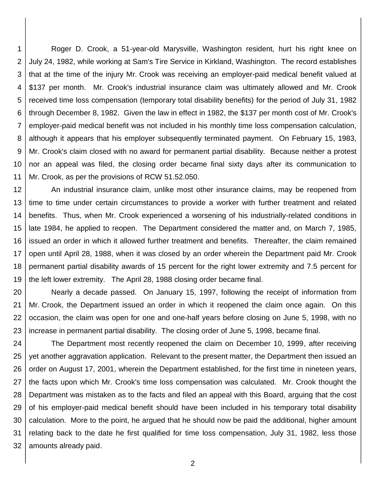1 2 3 4 5 6 7 8 9 10 11 Roger D. Crook, a 51-year-old Marysville, Washington resident, hurt his right knee on July 24, 1982, while working at Sam's Tire Service in Kirkland, Washington. The record establishes that at the time of the injury Mr. Crook was receiving an employer-paid medical benefit valued at \$137 per month. Mr. Crook's industrial insurance claim was ultimately allowed and Mr. Crook received time loss compensation (temporary total disability benefits) for the period of July 31, 1982 through December 8, 1982. Given the law in effect in 1982, the \$137 per month cost of Mr. Crook's employer-paid medical benefit was not included in his monthly time loss compensation calculation, although it appears that his employer subsequently terminated payment. On February 15, 1983, Mr. Crook's claim closed with no award for permanent partial disability. Because neither a protest nor an appeal was filed, the closing order became final sixty days after its communication to Mr. Crook, as per the provisions of RCW 51.52.050.

12 13 14 15 16 17 18 19 An industrial insurance claim, unlike most other insurance claims, may be reopened from time to time under certain circumstances to provide a worker with further treatment and related benefits. Thus, when Mr. Crook experienced a worsening of his industrially-related conditions in late 1984, he applied to reopen. The Department considered the matter and, on March 7, 1985, issued an order in which it allowed further treatment and benefits. Thereafter, the claim remained open until April 28, 1988, when it was closed by an order wherein the Department paid Mr. Crook permanent partial disability awards of 15 percent for the right lower extremity and 7.5 percent for the left lower extremity. The April 28, 1988 closing order became final.

20 21 22 23 Nearly a decade passed. On January 15, 1997, following the receipt of information from Mr. Crook, the Department issued an order in which it reopened the claim once again. On this occasion, the claim was open for one and one-half years before closing on June 5, 1998, with no increase in permanent partial disability. The closing order of June 5, 1998, became final.

24 25 26 27 28 29 30 31 32 The Department most recently reopened the claim on December 10, 1999, after receiving yet another aggravation application. Relevant to the present matter, the Department then issued an order on August 17, 2001, wherein the Department established, for the first time in nineteen years, the facts upon which Mr. Crook's time loss compensation was calculated. Mr. Crook thought the Department was mistaken as to the facts and filed an appeal with this Board, arguing that the cost of his employer-paid medical benefit should have been included in his temporary total disability calculation. More to the point, he argued that he should now be paid the additional, higher amount relating back to the date he first qualified for time loss compensation, July 31, 1982, less those amounts already paid.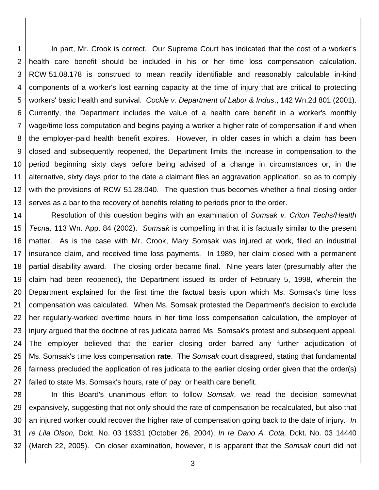1 2 3 4 5 6 7 8 9 10 11 12 13 In part, Mr. Crook is correct. Our Supreme Court has indicated that the cost of a worker's health care benefit should be included in his or her time loss compensation calculation. RCW 51.08.178 is construed to mean readily identifiable and reasonably calculable in-kind components of a worker's lost earning capacity at the time of injury that are critical to protecting workers' basic health and survival. *Cockle v. Department of Labor & Indus*., 142 Wn.2d 801 (2001). Currently, the Department includes the value of a health care benefit in a worker's monthly wage/time loss computation and begins paying a worker a higher rate of compensation if and when the employer-paid health benefit expires. However, in older cases in which a claim has been closed and subsequently reopened, the Department limits the increase in compensation to the period beginning sixty days before being advised of a change in circumstances or, in the alternative, sixty days prior to the date a claimant files an aggravation application, so as to comply with the provisions of RCW 51.28.040. The question thus becomes whether a final closing order serves as a bar to the recovery of benefits relating to periods prior to the order.

14 15 16 17 18 19 20 21 22 23 24 25 26 27 Resolution of this question begins with an examination of *Somsak v. Criton Techs/Health Tecna,* 113 Wn. App. 84 (2002). *Somsak* is compelling in that it is factually similar to the present matter. As is the case with Mr. Crook, Mary Somsak was injured at work, filed an industrial insurance claim, and received time loss payments. In 1989, her claim closed with a permanent partial disability award. The closing order became final. Nine years later (presumably after the claim had been reopened), the Department issued its order of February 5, 1998, wherein the Department explained for the first time the factual basis upon which Ms. Somsak's time loss compensation was calculated. When Ms. Somsak protested the Department's decision to exclude her regularly-worked overtime hours in her time loss compensation calculation, the employer of injury argued that the doctrine of res judicata barred Ms. Somsak's protest and subsequent appeal. The employer believed that the earlier closing order barred any further adjudication of Ms. Somsak's time loss compensation **rate**. The *Somsak* court disagreed, stating that fundamental fairness precluded the application of res judicata to the earlier closing order given that the order(s) failed to state Ms. Somsak's hours, rate of pay, or health care benefit.

28 29 30 31 32 In this Board's unanimous effort to follow *Somsak*, we read the decision somewhat expansively, suggesting that not only should the rate of compensation be recalculated, but also that an injured worker could recover the higher rate of compensation going back to the date of injury*. In re Lila Olson,* Dckt. No. 03 19331 (October 26, 2004); *In re Dano A. Cota,* Dckt. No. 03 14440 (March 22, 2005). On closer examination, however, it is apparent that the *Somsak* court did not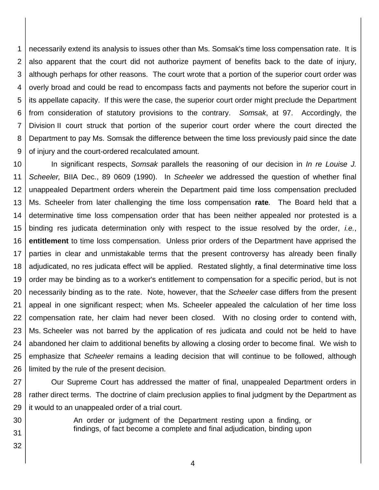1 2 3 4 5 6 7 8 9 necessarily extend its analysis to issues other than Ms. Somsak's time loss compensation rate. It is also apparent that the court did not authorize payment of benefits back to the date of injury, although perhaps for other reasons. The court wrote that a portion of the superior court order was overly broad and could be read to encompass facts and payments not before the superior court in its appellate capacity. If this were the case, the superior court order might preclude the Department from consideration of statutory provisions to the contrary. *Somsak*, at 97. Accordingly, the Division II court struck that portion of the superior court order where the court directed the Department to pay Ms. Somsak the difference between the time loss previously paid since the date of injury and the court-ordered recalculated amount.

10 11 12 13 14 15 16 17 18 19 20 21 22 23 24 25 26 In significant respects, *Somsak* parallels the reasoning of our decision in *In re Louise J. Scheeler,* BIIA Dec., 89 0609 (1990). In *Scheeler* we addressed the question of whether final unappealed Department orders wherein the Department paid time loss compensation precluded Ms. Scheeler from later challenging the time loss compensation **rate***.* The Board held that a determinative time loss compensation order that has been neither appealed nor protested is a binding res judicata determination only with respect to the issue resolved by the order, *i.e.*, **entitlement** to time loss compensation. Unless prior orders of the Department have apprised the parties in clear and unmistakable terms that the present controversy has already been finally adjudicated, no res judicata effect will be applied. Restated slightly, a final determinative time loss order may be binding as to a worker's entitlement to compensation for a specific period, but is not necessarily binding as to the rate. Note, however, that the *Scheeler* case differs from the present appeal in one significant respect; when Ms. Scheeler appealed the calculation of her time loss compensation rate, her claim had never been closed. With no closing order to contend with, Ms. Scheeler was not barred by the application of res judicata and could not be held to have abandoned her claim to additional benefits by allowing a closing order to become final. We wish to emphasize that *Scheeler* remains a leading decision that will continue to be followed, although limited by the rule of the present decision.

27 28 29 Our Supreme Court has addressed the matter of final, unappealed Department orders in rather direct terms. The doctrine of claim preclusion applies to final judgment by the Department as it would to an unappealed order of a trial court.

30 31

32

An order or judgment of the Department resting upon a finding, or findings, of fact become a complete and final adjudication, binding upon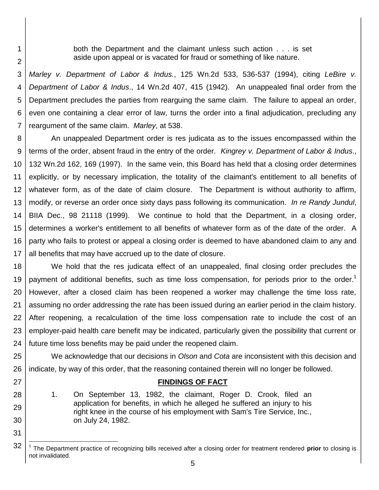both the Department and the claimant unless such action . . . is set aside upon appeal or is vacated for fraud or something of like nature.

1

2

27

28

29

30

31

3 4 5 6 7 *Marley v. Department of Labor & Indus.*, 125 Wn.2d 533, 536-537 (1994), citing *LeBire v. Department of Labor & Indus*., 14 Wn.2d 407, 415 (1942). An unappealed final order from the Department precludes the parties from rearguing the same claim. The failure to appeal an order, even one containing a clear error of law, turns the order into a final adjudication, precluding any reargument of the same claim. *Marley*, at 538.

8 9 10 11 12 13 14 15 16 17 An unappealed Department order is res judicata as to the issues encompassed within the terms of the order, absent fraud in the entry of the order. *Kingrey v. Department of Labor & Indus*., 132 Wn.2d 162, 169 (1997). In the same vein, this Board has held that a closing order determines explicitly, or by necessary implication, the totality of the claimant's entitlement to all benefits of whatever form, as of the date of claim closure. The Department is without authority to affirm, modify, or reverse an order once sixty days pass following its communication. *In re Randy Jundul*, BIIA Dec., 98 21118 (1999). We continue to hold that the Department, in a closing order, determines a worker's entitlement to all benefits of whatever form as of the date of the order. A party who fails to protest or appeal a closing order is deemed to have abandoned claim to any and all benefits that may have accrued up to the date of closure.

18 19 20 21 22 23 24 We hold that the res judicata effect of an unappealed, final closing order precludes the payment of additional benefits, such as time loss compensation, for periods prior to the order.<sup>1</sup> However, after a closed claim has been reopened a worker may challenge the time loss rate, assuming no order addressing the rate has been issued during an earlier period in the claim history. After reopening, a recalculation of the time loss compensation rate to include the cost of an employer-paid health care benefit may be indicated, particularly given the possibility that current or future time loss benefits may be paid under the reopened claim.

25 26 We acknowledge that our decisions in *Olson* and *Cota* are inconsistent with this decision and indicate, by way of this order, that the reasoning contained therein will no longer be followed.

### **FINDINGS OF FACT**

1. On September 13, 1982, the claimant, Roger D. Crook, filed an application for benefits, in which he alleged he suffered an injury to his right knee in the course of his employment with Sam's Tire Service, Inc., on July 24, 1982.

<sup>32</sup> l 1 The Department practice of recognizing bills received after a closing order for treatment rendered **prior** to closing is not invalidated.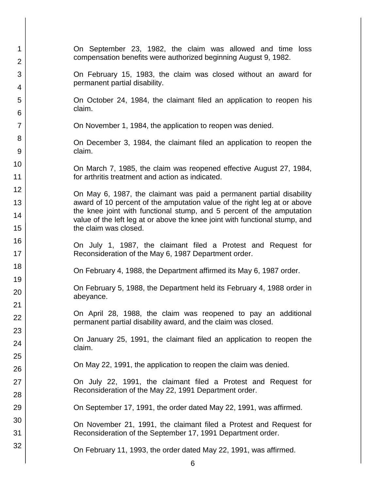| 1              | On September 23, 1982, the claim was allowed and time loss                                                                                           |
|----------------|------------------------------------------------------------------------------------------------------------------------------------------------------|
| $\overline{2}$ | compensation benefits were authorized beginning August 9, 1982.                                                                                      |
| 3<br>4         | On February 15, 1983, the claim was closed without an award for<br>permanent partial disability.                                                     |
| 5              | On October 24, 1984, the claimant filed an application to reopen his                                                                                 |
| 6              | claim.                                                                                                                                               |
| $\overline{7}$ | On November 1, 1984, the application to reopen was denied.                                                                                           |
| 8              |                                                                                                                                                      |
| 9              | On December 3, 1984, the claimant filed an application to reopen the<br>claim.                                                                       |
| 10             | On March 7, 1985, the claim was reopened effective August 27, 1984,                                                                                  |
| 11             | for arthritis treatment and action as indicated.                                                                                                     |
| 12             | On May 6, 1987, the claimant was paid a permanent partial disability                                                                                 |
| 13             | award of 10 percent of the amputation value of the right leg at or above                                                                             |
| 14             | the knee joint with functional stump, and 5 percent of the amputation<br>value of the left leg at or above the knee joint with functional stump, and |
| 15             | the claim was closed.                                                                                                                                |
| 16             | On July 1, 1987, the claimant filed a Protest and Request for                                                                                        |
| 17             | Reconsideration of the May 6, 1987 Department order.                                                                                                 |
| 18             | On February 4, 1988, the Department affirmed its May 6, 1987 order.                                                                                  |
| 19             |                                                                                                                                                      |
| 20             | On February 5, 1988, the Department held its February 4, 1988 order in<br>abeyance.                                                                  |
| 21             | On April 28, 1988, the claim was reopened to pay an additional                                                                                       |
| 22             | permanent partial disability award, and the claim was closed.                                                                                        |
| 23             | On January 25, 1991, the claimant filed an application to reopen the                                                                                 |
| 24             | claim.                                                                                                                                               |
| 25             | On May 22, 1991, the application to reopen the claim was denied.                                                                                     |
| 26             |                                                                                                                                                      |
| 27             | On July 22, 1991, the claimant filed a Protest and Request for<br>Reconsideration of the May 22, 1991 Department order.                              |
| 28             |                                                                                                                                                      |
| 29             | On September 17, 1991, the order dated May 22, 1991, was affirmed.                                                                                   |
| 30<br>31       | On November 21, 1991, the claimant filed a Protest and Request for<br>Reconsideration of the September 17, 1991 Department order.                    |
| 32             |                                                                                                                                                      |
|                | On February 11, 1993, the order dated May 22, 1991, was affirmed.                                                                                    |
|                |                                                                                                                                                      |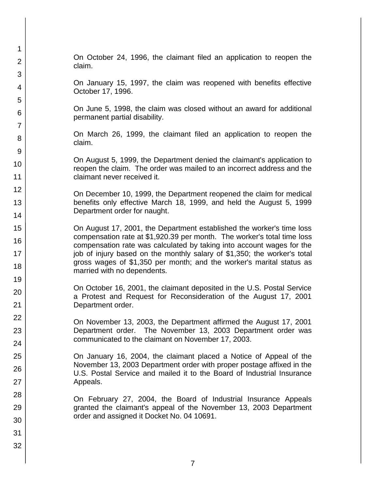On October 24, 1996, the claimant filed an application to reopen the claim.

On January 15, 1997, the claim was reopened with benefits effective October 17, 1996.

On June 5, 1998, the claim was closed without an award for additional permanent partial disability.

On March 26, 1999, the claimant filed an application to reopen the claim.

On August 5, 1999, the Department denied the claimant's application to reopen the claim. The order was mailed to an incorrect address and the claimant never received it.

On December 10, 1999, the Department reopened the claim for medical benefits only effective March 18, 1999, and held the August 5, 1999 Department order for naught.

On August 17, 2001, the Department established the worker's time loss compensation rate at \$1,920.39 per month. The worker's total time loss compensation rate was calculated by taking into account wages for the job of injury based on the monthly salary of \$1,350; the worker's total gross wages of \$1,350 per month; and the worker's marital status as married with no dependents.

On October 16, 2001, the claimant deposited in the U.S. Postal Service a Protest and Request for Reconsideration of the August 17, 2001 Department order.

On November 13, 2003, the Department affirmed the August 17, 2001 Department order. The November 13, 2003 Department order was communicated to the claimant on November 17, 2003.

On January 16, 2004, the claimant placed a Notice of Appeal of the November 13, 2003 Department order with proper postage affixed in the U.S. Postal Service and mailed it to the Board of Industrial Insurance Appeals.

On February 27, 2004, the Board of Industrial Insurance Appeals granted the claimant's appeal of the November 13, 2003 Department order and assigned it Docket No. 04 10691.

1

2

3

4

5

6

7

8

9

10

11 12

13

14

15

16

17 18

19

20

21 22

23

24

25

26

27

28

29

30

31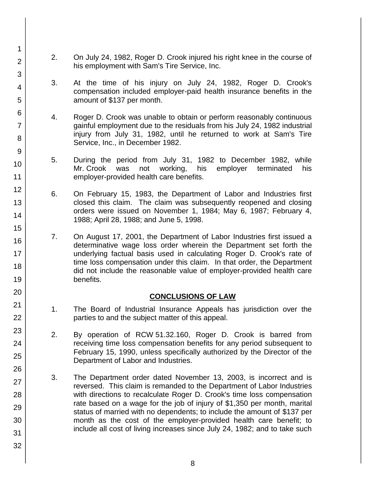- 2. On July 24, 1982, Roger D. Crook injured his right knee in the course of his employment with Sam's Tire Service, Inc.
- 3. At the time of his injury on July 24, 1982, Roger D. Crook's compensation included employer-paid health insurance benefits in the amount of \$137 per month.
- 4. Roger D. Crook was unable to obtain or perform reasonably continuous gainful employment due to the residuals from his July 24, 1982 industrial injury from July 31, 1982, until he returned to work at Sam's Tire Service, Inc., in December 1982.
- 5. During the period from July 31, 1982 to December 1982, while Mr. Crook was not working, his employer terminated his employer-provided health care benefits.
- 6. On February 15, 1983, the Department of Labor and Industries first closed this claim. The claim was subsequently reopened and closing orders were issued on November 1, 1984; May 6, 1987; February 4, 1988; April 28, 1988; and June 5, 1998.
- 7. On August 17, 2001, the Department of Labor Industries first issued a determinative wage loss order wherein the Department set forth the underlying factual basis used in calculating Roger D. Crook's rate of time loss compensation under this claim. In that order, the Department did not include the reasonable value of employer-provided health care benefits.

### **CONCLUSIONS OF LAW**

- 1. The Board of Industrial Insurance Appeals has jurisdiction over the parties to and the subject matter of this appeal.
- 2. By operation of RCW 51.32.160, Roger D. Crook is barred from receiving time loss compensation benefits for any period subsequent to February 15, 1990, unless specifically authorized by the Director of the Department of Labor and Industries.
- 3. The Department order dated November 13, 2003, is incorrect and is reversed. This claim is remanded to the Department of Labor Industries with directions to recalculate Roger D. Crook's time loss compensation rate based on a wage for the job of injury of \$1,350 per month, marital status of married with no dependents; to include the amount of \$137 per month as the cost of the employer-provided health care benefit; to include all cost of living increases since July 24, 1982; and to take such
- 2 3 4 5 6 7 8 9 10 11 12 13 14 15 16 17 18 19 20 21 22 23 24 25 26 27 28 29 30 31 32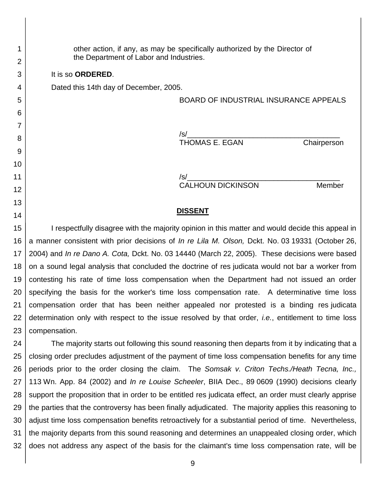other action, if any, as may be specifically authorized by the Director of the Department of Labor and Industries.

It is so **ORDERED**.

1

2

3

4

5

6

7

8

9

10

11 12

13

14

Dated this 14th day of December, 2005.

BOARD OF INDUSTRIAL INSURANCE APPEALS

/s/\_\_\_\_\_\_\_\_\_\_\_\_\_\_\_\_\_\_\_\_\_\_\_\_\_\_\_\_\_\_\_\_\_\_\_\_\_ THOMAS E. EGAN Chairperson

/s/\_\_\_\_\_\_\_\_\_\_\_\_\_\_\_\_\_\_\_\_\_\_\_\_\_\_\_\_\_\_\_\_\_\_\_\_\_ CALHOUN DICKINSON Member

#### **DISSENT**

15 16 17 18 19 20 21 22 23 I respectfully disagree with the majority opinion in this matter and would decide this appeal in a manner consistent with prior decisions of *In re Lila M. Olson,* Dckt. No. 03 19331 (October 26, 2004) and *In re Dano A. Cota,* Dckt. No. 03 14440 (March 22, 2005). These decisions were based on a sound legal analysis that concluded the doctrine of res judicata would not bar a worker from contesting his rate of time loss compensation when the Department had not issued an order specifying the basis for the worker's time loss compensation rate. A determinative time loss compensation order that has been neither appealed nor protested is a binding res judicata determination only with respect to the issue resolved by that order, *i.e.*, entitlement to time loss compensation.

24 25 26 27 28 29 30 31 32 The majority starts out following this sound reasoning then departs from it by indicating that a closing order precludes adjustment of the payment of time loss compensation benefits for any time periods prior to the order closing the claim. The *Somsak v. Criton Techs./Heath Tecna, Inc.,*  113 Wn. App. 84 (2002) and *In re Louise Scheeler*, BIIA Dec., 89 0609 (1990) decisions clearly support the proposition that in order to be entitled res judicata effect, an order must clearly apprise the parties that the controversy has been finally adjudicated. The majority applies this reasoning to adjust time loss compensation benefits retroactively for a substantial period of time. Nevertheless, the majority departs from this sound reasoning and determines an unappealed closing order, which does not address any aspect of the basis for the claimant's time loss compensation rate, will be